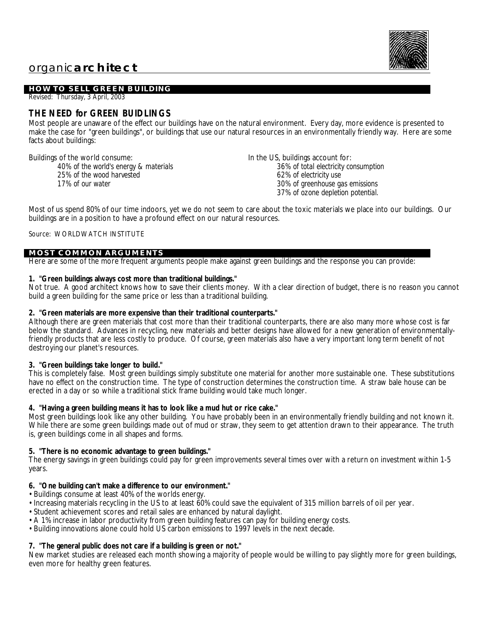# organic**architect**

### **HOW TO SELL GREEN BUILDING**

Revised: Thursday, 3 April, 2003

# **THE NEED for GREEN BUIDLINGS**

Most people are unaware of the effect our buildings have on the natural environment. Every day, more evidence is presented to make the case for "green buildings", or buildings that use our natural resources in an environmentally friendly way. Here are some facts about buildings:

Buildings of the world consume:

*40% of the world's energy & materials 25% of the wood harvested 17% of our water*

In the US, buildings account for: *36% of total electricity consumption 62% of electricity use 30% of greenhouse gas emissions 37% of ozone depletion potential.*

Most of us spend 80% of our time indoors, yet we do not seem to care about the toxic materials we place into our buildings. Our buildings are in a position to have a profound effect on our natural resources.

#### Source: WORLDWATCH INSTITUTE

#### **MOST COMMON ARGUMENTS**

Here are some of the more frequent arguments people make against green buildings and the response you can provide:

**1. "Green buildings always cost more than traditional buildings."**

Not true. A good architect knows how to save their clients money. With a clear direction of budget, there is no reason you cannot build a green building for the same price or less than a traditional building.

**2. "Green materials are more expensive than their traditional counterparts."**

Although there are green materials that cost more than their traditional counterparts, there are also many more whose cost is far below the standard. Advances in recycling, new materials and better designs have allowed for a new generation of environmentallyfriendly products that are less costly to produce. Of course, green materials also have a very important long term benefit of not destroying our planet's resources.

**3. "Green buildings take longer to build."**

This is completely false. Most green buildings simply substitute one material for another more sustainable one. These substitutions have no effect on the construction time. The type of construction determines the construction time. A straw bale house can be erected in a day or so while a traditional stick frame building would take much longer.

**4. "Having a green building means it has to look like a mud hut or rice cake."**

Most green buildings look like any other building. You have probably been in an environmentally friendly building and not known it. While there are some green buildings made out of mud or straw, they seem to get attention drawn to their appearance. The truth is, green buildings come in all shapes and forms.

**5. "There is no economic advantage to green buildings."**

The energy savings in green buildings could pay for green improvements several times over with a return on investment within 1-5 years.

**6. "One building can't make a difference to our environment."**

- Buildings consume at least 40% of the worlds energy.
- Increasing materials recycling in the US to at least 60% could save the equivalent of 315 million barrels of oil per year.
- Student achievement scores and retail sales are enhanced by natural daylight.
- A 1% increase in labor productivity from green building features can pay for building energy costs.
- Building innovations alone could hold US carbon emissions to 1997 levels in the next decade.

**7. "The general public does not care if a building is green or not."**

New market studies are released each month showing a majority of people would be willing to pay slightly more for green buildings, even more for healthy green features.